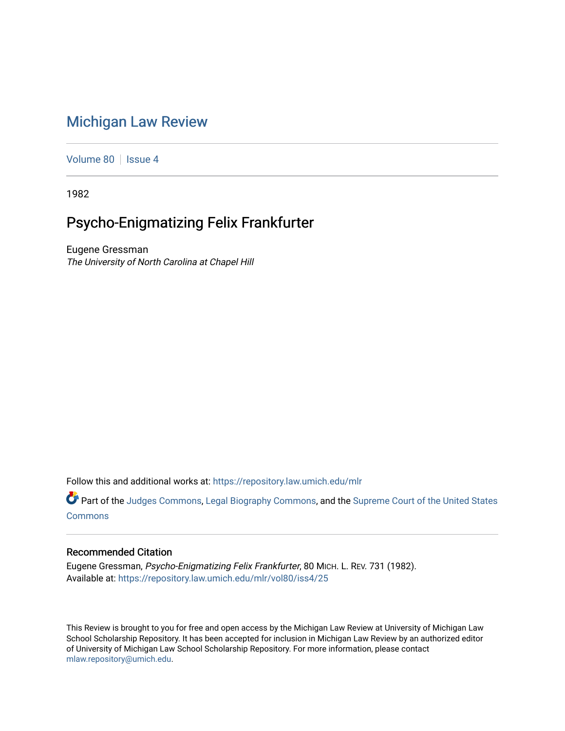## [Michigan Law Review](https://repository.law.umich.edu/mlr)

[Volume 80](https://repository.law.umich.edu/mlr/vol80) | [Issue 4](https://repository.law.umich.edu/mlr/vol80/iss4)

1982

# Psycho-Enigmatizing Felix Frankfurter

Eugene Gressman The University of North Carolina at Chapel Hill

Follow this and additional works at: [https://repository.law.umich.edu/mlr](https://repository.law.umich.edu/mlr?utm_source=repository.law.umich.edu%2Fmlr%2Fvol80%2Fiss4%2F25&utm_medium=PDF&utm_campaign=PDFCoverPages) 

Part of the [Judges Commons,](http://network.bepress.com/hgg/discipline/849?utm_source=repository.law.umich.edu%2Fmlr%2Fvol80%2Fiss4%2F25&utm_medium=PDF&utm_campaign=PDFCoverPages) [Legal Biography Commons,](http://network.bepress.com/hgg/discipline/834?utm_source=repository.law.umich.edu%2Fmlr%2Fvol80%2Fiss4%2F25&utm_medium=PDF&utm_campaign=PDFCoverPages) and the Supreme Court of the United States **[Commons](http://network.bepress.com/hgg/discipline/1350?utm_source=repository.law.umich.edu%2Fmlr%2Fvol80%2Fiss4%2F25&utm_medium=PDF&utm_campaign=PDFCoverPages)** 

### Recommended Citation

Eugene Gressman, Psycho-Enigmatizing Felix Frankfurter, 80 MICH. L. REV. 731 (1982). Available at: [https://repository.law.umich.edu/mlr/vol80/iss4/25](https://repository.law.umich.edu/mlr/vol80/iss4/25?utm_source=repository.law.umich.edu%2Fmlr%2Fvol80%2Fiss4%2F25&utm_medium=PDF&utm_campaign=PDFCoverPages) 

This Review is brought to you for free and open access by the Michigan Law Review at University of Michigan Law School Scholarship Repository. It has been accepted for inclusion in Michigan Law Review by an authorized editor of University of Michigan Law School Scholarship Repository. For more information, please contact [mlaw.repository@umich.edu.](mailto:mlaw.repository@umich.edu)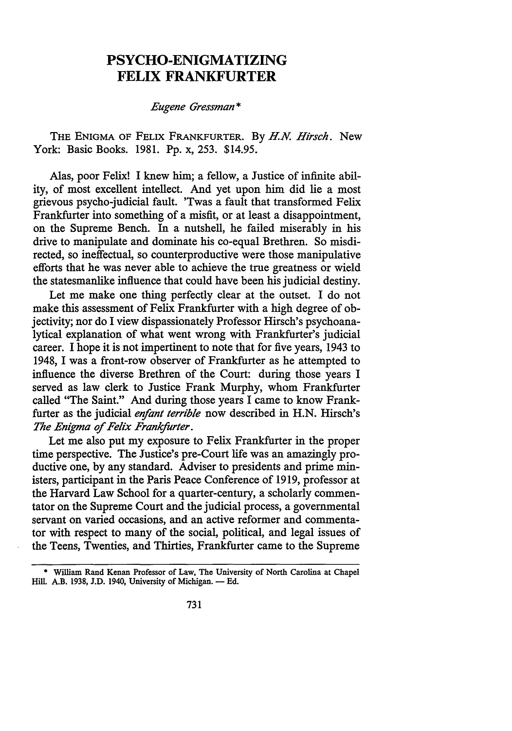### **PSYCHO-ENIGMATIZING FELIX FRANKFURTER**

#### *Eugene Gressman\**

THE ENIGMA OF FELIX FRANKFURTER. By H.N. *Hirsch.* New York: Basic Books. 1981. Pp. x, 253. \$14.95.

Alas, poor Felix! I knew him; a fellow, a Justice of infinite ability, of most excellent intellect. And yet upon him did lie a most grievous psycho-judicial fault. 'Twas a fault that transformed Felix Frankfurter into something of a misfit, or at least a disappointment, on the Supreme Bench. In a nutshell, he failed miserably in his drive to manipulate and dominate his co-equal Brethren. So misdirected, so ineffectual, so counterproductive were those manipulative efforts that he was never able to achieve the true greatness or wield the statesmanlike influence that could have been his judicial destiny.

Let me make one thing perfectly clear at the outset. I do not make this assessment of Felix Frankfurter with a high degree of objectivity; nor do I view dispassionately Professor Hirsch's psychoanalytical explanation of what went wrong with Frankfurter's judicial career. I hope it is not impertinent to note that for five years, 1943 to 1948, I was a front-row observer of Frankfurter as he attempted to influence the diverse Brethren of the Court: during those years I served as law clerk to Justice Frank Murphy, whom Frankfurter called "The Saint." And during those years I came to know Frankfurter as the judicial *enfant terrible* now described in H.N. Hirsch's *The Enigma of Felix Frankfurter.* 

Let me also put my exposure to Felix Frankfurter in the proper time perspective. The Justice's pre-Court life was an amazingly productive one, by any standard. Adviser to presidents and prime ministers, participant in the Paris Peace Conference of 1919, professor at the Harvard Law School for a quarter-century, a scholarly commentator on the Supreme Court and the judicial process, a governmental servant on varied occasions, and an active reformer and commentator with respect to many of the social, political, and legal issues of the Teens, Twenties, and Thirties, Frankfurter came to the Supreme

<sup>•</sup> William Rand Kenan Professor of Law, The University of North Carolina at Chapel Hill. A.B. 1938, J.D. 1940, University of Michigan. -- Ed.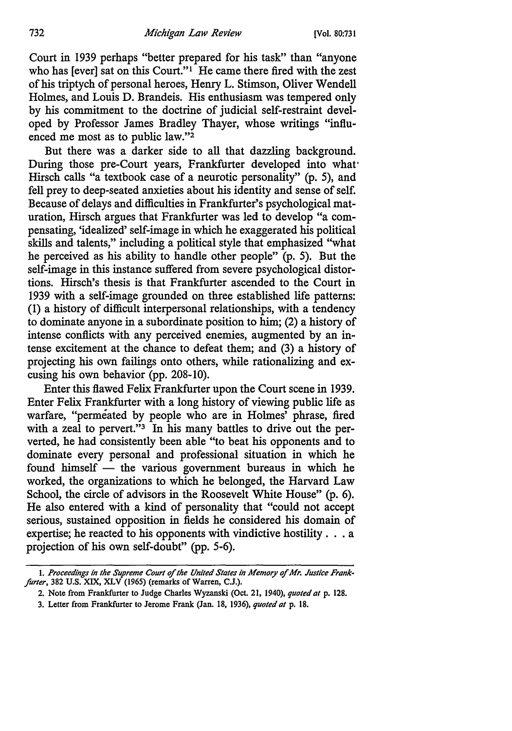Court in 1939 perhaps "better prepared for his task" than "anyone who has [ever] sat on this Court."<sup>1</sup> He came there fired with the zest of his triptych of personal heroes, Henry L. Stimson, Oliver Wendell Holmes, and Louis D. Brandeis. His enthusiasm was tempered only by his commitment to the doctrine of judicial self-restraint developed by Professor James Bradley Thayer, whose writings "influenced me most as to public law."<sup>2</sup>

But there was a darker side to all that dazzling background. During those pre-Court years, Frankfurter developed into what Hirsch calls "a textbook case of a neurotic personality" (p. 5), and fell prey to deep-seated anxieties about his identity and sense of self. Because of delays and difficulties in Frankfurter's psychological maturation, Hirsch argues that Frankfurter was led to develop "a compensating, 'idealized' self-image in which he exaggerated his political skills and talents," including a political style that emphasized "what he perceived as his ability to handle other people" (p. 5). But the self-image in this instance suffered from severe psychological distortions. Hirsch's thesis is that Frankfurter ascended to the Court in 1939 with a self-image grounded on three established life patterns: (1) a history of difficult interpersonal relationships, with a tendency to dominate anyone in a subordinate position to him; (2) a history of intense conflicts with any perceived enemies, augmented by an intense excitement at the chance to defeat them; and (3) a history of projecting his own failings onto others, while rationalizing and excusing his own behavior (pp. 208-10).

Enter this flawed Felix Frankfurter upon the Court scene in 1939. Enter Felix Frankfurter with a long history of viewing public life as warfare, "permeated by people who are in Holmes' phrase, fired with a zeal to pervert."<sup>3</sup> In his many battles to drive out the perverted, he had consistently been able "to beat his opponents and to dominate every personal and professional situation in which he found himself  $-$  the various government bureaus in which he worked, the organizations to which he belonged, the Harvard Law School, the circle of advisors in the Roosevelt White House" (p. 6). He also entered with a kind of personality that "could not accept serious, sustained opposition in fields he considered his domain of expertise; he reacted to his opponents with vindictive hostility . . . a projection of his own self-doubt" (pp. 5-6).

l. *Proceedings in the Supreme Court* of *the United States in Memory* of *Mr. Justice Frankfurter,* 382 U.S. XIX, XLV (1965) (remarks of Warren, C.J.).

<sup>2.</sup> Note from Frankfurter to Judge Charles Wyzanski (Oct. 21, 1940), *quoted at* p. 128.

<sup>3.</sup> Letter from Frankfurter to Jerome Frank (Jan. 18, 1936), *quoted at* p. 18.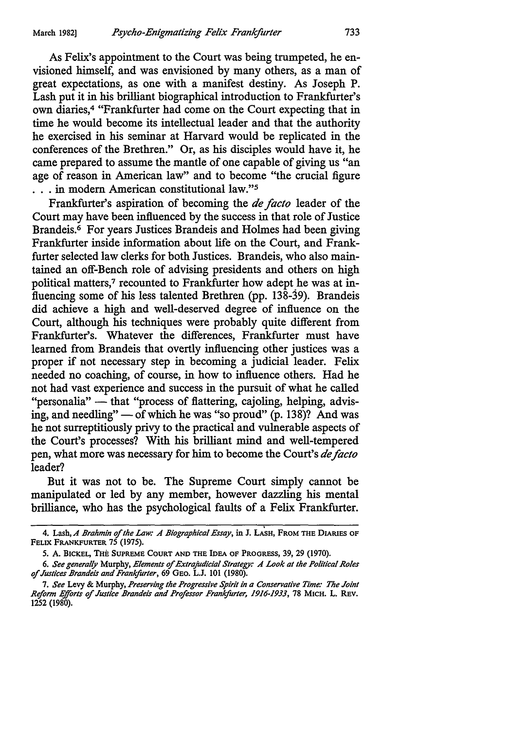As Felix's appointment to the Court was being trumpeted, he envisioned himself, and was envisioned by many others, as a man of great expectations, as one with a manifest destiny. As Joseph P. Lash put it in his brilliant biographical introduction to Frankfurter's own diaries,4 "Frankfurter had come on the Court expecting that in time he would become its intellectual leader and that the authority he exercised in his seminar at Harvard would be replicated in the conferences of the Brethren." Or, as his disciples would have it, he came prepared to assume the mantle of one capable of giving us "an age of reason in American law" and to become "the crucial figure . . . in modem American constitutional law."<sup>5</sup>

Frankfurter's aspiration of becoming the *de facto* leader of the Court may have been influenced by the success in that role of Justice Brandeis.<sup>6</sup> For years Justices Brandeis and Holmes had been giving Frankfurter inside information about life on the Court, and Frankfurter selected law clerks for both Justices. Brandeis, who also maintained an off-Bench role of advising presidents and others on high political matters,7 recounted to Frankfurter how adept he was at influencing some of his less talented Brethren (pp. 138-39). Brandeis did achieve a high and well-deserved degree of influence on the Court, although his techniques were probably quite different from Frankfurter's. Whatever the differences, Frankfurter must have learned from Brandeis that overtly influencing other justices was a proper if not necessary step in becoming a judicial leader. Felix needed no coaching, of course, in how to influence others. Had he not had vast experience and success in the pursuit of what he called "personalia" - that "process of flattering, cajoling, helping, advising, and needling" — of which he was "so proud" (p. 138)? And was he not surreptitiously privy to the practical and vulnerable aspects of the Court's processes? With his brilliant mind and well-tempered pen, what more was necessary for him to become the Court's *de facto*  leader?

But it was not to be. The Supreme Court simply cannot be manipulated or led by any member, however dazzling his mental brilliance, who has the psychological faults of a Felix Frankfurter.

<sup>4.</sup> Lash, *A Brahmin of the Law: A Biographical Essay,* in J. LASH, FROM THE DIARIES OF FELIX FRANKFURTER 75 (1975).

<sup>5.</sup> A. BICKEL, THE SUPREME COURT AND THE IDEA OF PROGRESS, 39, 29 (1970).

<sup>6.</sup> *See generally* Murphy, *Elements of Extrajudicial Strategy: A Laok at the Political Roles of Justices Brandeis and Frankfurter,* 69 GEo. L.J. 101 (1980).

<sup>7.</sup> *See* Levy & Murphy, *Preserving the Progressive Splrit in a Conservative Time: The Joint Reform Efforts of Justice Brandeis and Professor Frankfurter, 1916-1933,* 78 MICH. L. REV. 1252 (1980).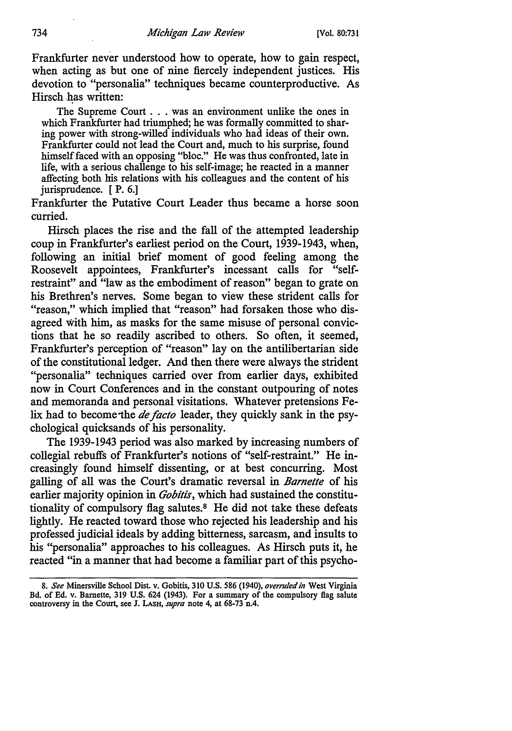Frankfurter never understood how to operate, how to gain respect, when acting as but one of nine fiercely independent justices. His devotion to "personalia" techniques became counterproductive. As Hirsch has written:

The Supreme Court . . . was an environment unlike the ones in which Frankfurter had triumphed; he was formally committed to sharing power with strong-willed individuals who had ideas of their own. Frankfurter could not lead the Court and, much to his surprise, found himself faced with an opposing "bloc." He was thus confronted, late in life, with a serious challenge to his self-image; he reacted in a manner affecting both his relations with his colleagues and the content of his jurisprudence. [ P. 6.]

Frankfurter the Putative Court Leader thus became a horse soon curried.

Hirsch places the rise and the fall of the attempted leadership coup in Frankfurter's earliest period on the Court, 1939-1943, when, following an initial brief moment of good feeling among the Roosevelt appointees, Frankfurter's incessant calls for "selfrestraint" and "law as the embodiment of reason" began to grate on his Brethren's nerves. Some began to view these strident calls for "reason," which implied that "reason" had forsaken those who disagreed with him, as masks for the same misuse of personal convictions that he so readily ascribed to others. So often, it seemed, Frankfurter's perception of "reason" lay on the antilibertarian side of the constitutional ledger. And then there were always the strident "personalia" techniques carried over from earlier days, exhibited now in Court Conferences and in the constant outpouring of notes and memoranda and personal visitations. Whatever pretensions Felix had to become the *de facto* leader, they quickly sank in the psychological quicksands of his personality.

The 1939-1943 period was also marked by increasing numbers of collegial rebuffs of Frankfurter's notions of "self-restraint." He increasingly found himself dissenting, or at best concurring. Most galling of all was the Court's dramatic reversal in *Barnette* of his earlier majority opinion in *Gobitis,* which had sustained the constitutionality of compulsory flag salutes. $8$  He did not take these defeats lightly. He reacted toward those who rejected his leadership and his professed judicial ideals by adding bitterness, sarcasm, and insults to his "personalia" approaches to his colleagues. As Hirsch puts it, he reacted "in a manner that had become a familiar part of this psycho-

<sup>8.</sup> *See* Minersville School Dist. v. Gobitis, 310 U.S. 586 (1940), *overruled in* West Virginia Bd. of Ed. v. Barnette, 319 U.S. 624 (1943). For a summary of the compulsory flag salute controversy in the Court, see J. LASH, *supra* note 4, at 68-73 n.4.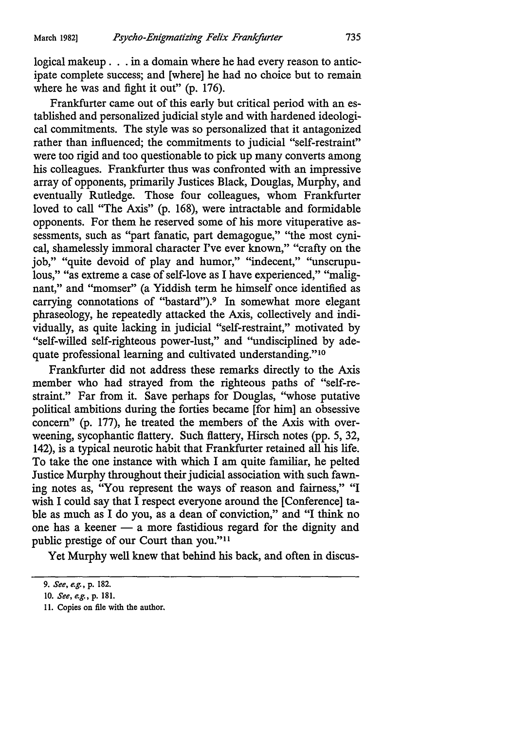logical makeup  $\ldots$  in a domain where he had every reason to anticipate complete success; and [where] he had no choice but to remain where he was and fight it out" (p. 176).

Frankfurter came out of this early but critical period with an established and personalized judicial style and with hardened ideological commitments. The style was so personalized that it antagonized rather than influenced; the commitments to judicial "self-restraint" were too rigid and too questionable to pick up many converts among his colleagues. Frankfurter thus was confronted with an impressive array of opponents, primarily Justices Black, Douglas, Murphy, and eventually Rutledge. Those four colleagues, whom Frankfurter loved to call "The Axis" (p. 168), were intractable and formidable opponents. For them he reserved some of his more vituperative assessments, such as "part fanatic, part demagogue," "the most cynical, shamelessly immoral character I've ever known," "crafty on the job," "quite devoid of play and humor," "indecent," "unscrupulous," "as extreme a case of self-love as I have experienced," "malignant," and "momser" (a Yiddish term he himself once identified as carrying connotations of "bastard").<sup>9</sup> In somewhat more elegant phraseology, he repeatedly attacked the Axis, collectively and individually, as quite lacking in judicial "self-restraint," motivated by "self-willed self-righteous power-lust," and "undisciplined by adequate professional learning and cultivated understanding."<sup>10</sup>

Frankfurter did not address these remarks directly to the Axis member who had strayed from the righteous paths of "self-restraint." Far from it. Save perhaps for Douglas, "whose putative political ambitions during the forties became [for him] an obsessive concern" (p. 177), he treated the members of the Axis with overweening, sycophantic flattery. Such flattery, Hirsch notes (pp. 5, 32, 142), is a typical neurotic habit that Frankfurter retained all his life. To take the one instance with which I am quite familiar, he pelted Justice Murphy throughout their judicial association with such fawning notes as, "You represent the ways of reason and fairness," "I wish I could say that I respect everyone around the [Conference] table as much as I do you, as a dean of conviction," and "I think no one has a keener  $-$  a more fastidious regard for the dignity and public prestige of our Court than you."<sup>11</sup>

Yet Murphy well knew that behind his back, and often in discus-

<sup>9.</sup> *See, e.g.,* p. 182.

IO. *See, e.g.,* p. 181.

<sup>11.</sup> Copies on file with the author.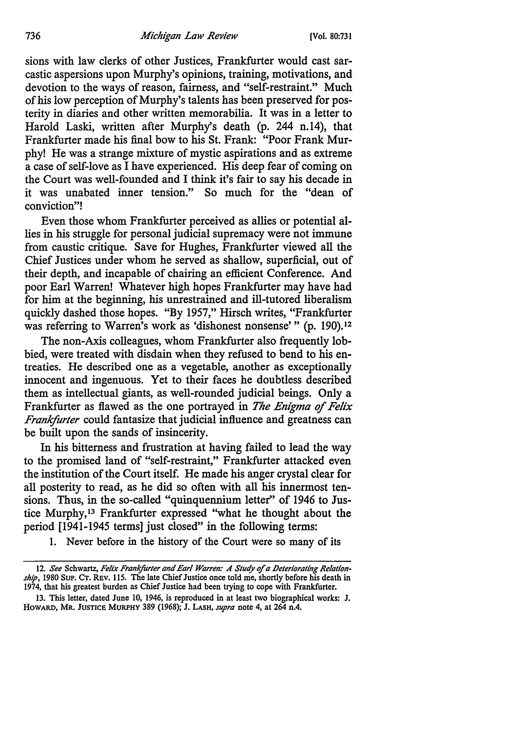sions with law clerks of other Justices, Frankfurter would cast sarcastic aspersions upon Murphy's opinions, training, motivations, and devotion to the ways of reason, fairness, and "self-restraint." Much of his low perception of Murphy's talents has been preserved for posterity in diaries and other written memorabilia. It was in a letter to Harold Laski, written after Murphy's death (p. 244 n.14), that Frankfurter made his final bow to his St. Frank: "Poor Frank Murphy! He was a strange mixture of mystic aspirations and as extreme a case of self-love as I have experienced. His deep fear of coming on the Court was well-founded and I think it's fair to say his decade in it was unabated inner tension." So much for the "dean of conviction"!

Even those whom Frankfurter perceived as allies or potential allies in his struggle for personal judicial supremacy were not immune from caustic critique. Save for Hughes, Frankfurter viewed all the Chief Justices under whom he served as shallow, superficial, out of their depth, and incapable of chairing an efficient Conference. And poor Earl Warren! Whatever high hopes Frankfurter may have had for him at the beginning, his unrestrained and ill-tutored liberalism quickly dashed those hopes. "By 1957," Hirsch writes, "Frankfurter was referring to Warren's work as 'dishonest nonsense'" (p. 190).<sup>12</sup>

The non-Axis colleagues, whom Frankfurter also frequently lobbied, were treated with disdain when they refused to bend to his entreaties. He described one as a vegetable, another as exceptionally innocent and ingenuous. Yet to their faces he doubtless described them as intellectual giants, as well-rounded judicial beings. Only a Frankfurter as flawed as the one portrayed in *The Enigma of Felix Frankfurter* could fantasize that judicial influence and greatness can be built upon the sands of insincerity.

In his bitterness and frustration at having failed to lead the way to the promised land of "self-restraint," Frankfurter attacked even the institution of the Court itself. He made his anger crystal clear for all posterity to read, as he did so often with all his innermost tensions. Thus, in the so-called "quinquennium letter'' of 1946 to Justice Murphy, 13 Frankfurter expressed ''what he thought about the period [1941-1945 terms] just closed" in the following terms:

I. Never before in the history of the Court were so many of its

<sup>12.</sup> See Schwartz, Felix Frankfurter and Earl Warren: A Study of a Deteriorating Relation*ship,* 1980 SuP. CT. REV. 115. The late Chief Justice once told me, shortly before his death in 1974, that his greatest burden as Chief Justice had been trying to cope with Frankfurter.

<sup>13.</sup> This letter, dated June IO, 1946, is reproduced in at least two biographical works: J. HOWARD, MR. JUSTICE MURPHY 389 (1968); J. LASH, *supra* note 4, at 264 n.4.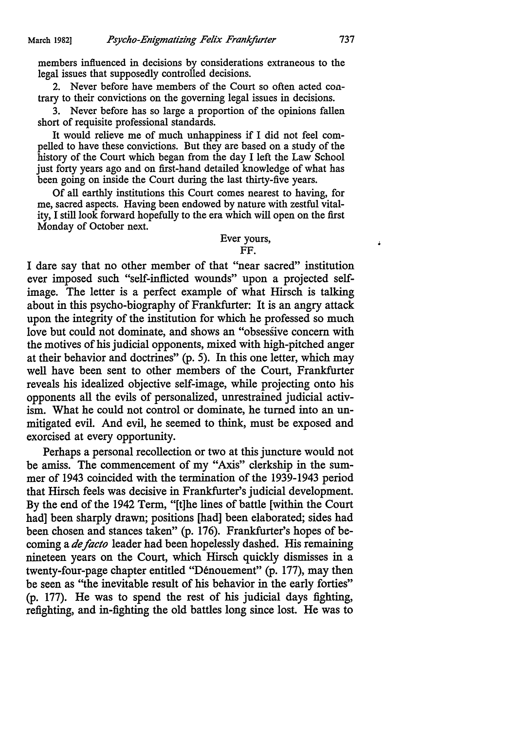members influenced in decisions by considerations extraneous to the legal issues that supposedly controlled decisions.

2. Never before have members of the Court so often acted contrary to their convictions on the governing legal issues in decisions.

3. Never before has so large a proportion of the opinions fallen short of requisite professional standards.

It would relieve me of much unhappiness if I did not feel compelled to have these convictions. But they are based on a study of the history of the Court which began from the day I left the Law School just forty years ago and on first-hand detailed knowledge of what has been going on inside the Court during the last thirty-five years.

Of all earthly institutions this Court comes nearest to having, for me, sacred aspects. Having been endowed by nature with zestful vitality, I still look forward hopefully to the era which will open on the first Monday of October next.

#### Ever yours,

#### FF.

I dare say that no other member of that "near sacred" institution ever imposed such "self-inflicted wounds" upon a projected selfimage. The letter is a perfect example of what Hirsch is talking about in this psycho-biography of Frankfurter: It is an angry attack upon the integrity of the institution for which he professed so much love but could not dominate, and shows an "obsessive concern with the motives of his judicial opponents, mixed with high-pitched anger at their behavior and doctrines" (p. 5). In this one letter, which may well have been sent to other members of the Court, Frankfurter reveals his idealized objective self-image, while projecting onto his opponents all the evils of personalized, unrestrained judicial activism. What he could not control or dominate, he turned into an unmitigated evil. And evil, he seemed to think, must be exposed and exorcised at every opportunity.

Perhaps a personal recollection or two at this juncture would not be amiss. The commencement of my "Axis" clerkship in the summer of 1943 coincided with the termination of the 1939-1943 period that Hirsch feels was decisive in Frankfurter's judicial development. By the end of the 1942 Term, "[t]he lines of battle [within the Court had] been sharply drawn; positions [had] been elaborated; sides had been chosen and stances taken" (p. 176). Frankfurter's hopes of becoming a *de facto* leader had been hopelessly dashed. His remaining nineteen years on the Court, which Hirsch quickly dismisses in a twenty-four-page chapter entitled "Denouement" (p. 177), may then be seen as "the inevitable result of his behavior in the early forties" (p. 177). He was to spend the rest of his judicial days fighting, refighting, and in-fighting the old battles long since lost. He was to  $\Delta$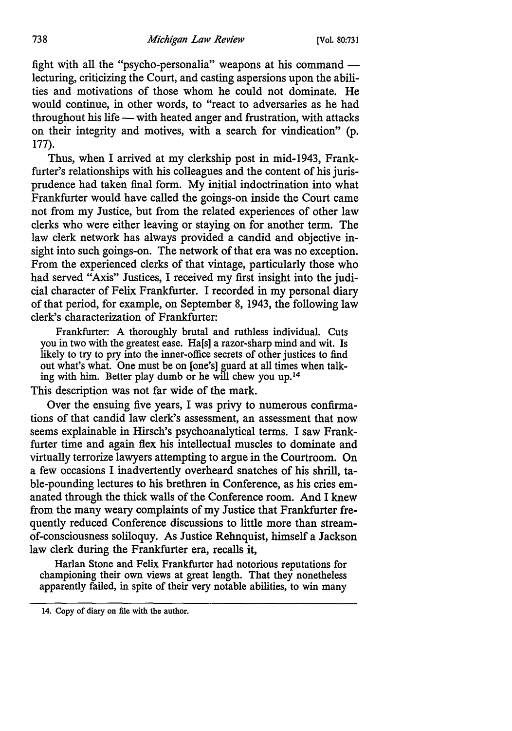fight with all the "psycho-personalia" weapons at his command lecturing, criticizing the Court, and casting aspersions upon the abilities and motivations of those whom he could not dominate. He would continue, in other words, to "react to adversaries as he had throughout his life — with heated anger and frustration, with attacks on their integrity and motives, with a search for vindication" (p. 177).

Thus, when I arrived at my clerkship post in mid-1943, Frankfurter's relationships with his colleagues and the content of his jurisprudence had taken final form. My initial indoctrination into what Frankfurter would have called the goings-on inside the Court came not from my Justice, but from the related experiences of other law clerks who were either leaving or staying on for another term. The law clerk network has always provided a candid and objective insight into such goings-on. The network of that era was no exception. From the experienced clerks of that vintage, particularly those who had served "Axis" Justices, I received my first insight into the judicial character of Felix Frankfurter. I recorded in my personal diary of that period, for example, on September 8, 1943, the following law clerk's characterization of Frankfurter:

Frankfurter: A thoroughly brutal and ruthless individual. Cuts you in two with the greatest ease. Ha[s] a razor-sharp mind and wit. Is likely to try to pry into the inner-office secrets of other justices to find out what's what. One must be on [one's] guard at all times when talking with him. Better play dumb or he will chew you up. 14

This description was not far wide of the mark.

Over the ensuing five years, I was privy to numerous confirmations of that candid law clerk's assessment, an assessment that now seems explainable in Hirsch's psychoanalytical terms. I saw Frankfurter time and again flex his intellectual muscles to dominate and virtually terrorize lawyers attempting to argue in the Courtroom. On a few occasions I inadvertently overheard snatches of his shrill, table-pounding lectures to his brethren in Conference, as his cries emanated through the thick walls of the Conference room. And I knew from the many weary complaints of my Justice that Frankfurter frequently reduced Conference discussions to little more than streamof-consciousness soliloquy. As Justice Rehnquist, himself a Jackson law clerk during the Frankfurter era, recalls it,

Harlan Stone and Felix Frankfurter had notorious reputations for championing their own views at great length. That they nonetheless apparently failed, in spite of their very notable abilities, to win many

<sup>14.</sup> Copy of diary on file with the author.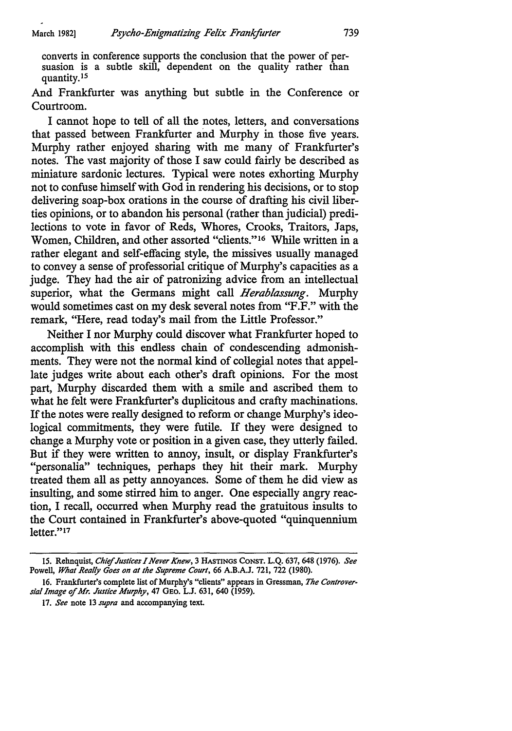converts in conference supports the conclusion that the power of persuasion is a subtle skill, dependent on the quality rather than quantity. <sup>15</sup>

And Frankfurter was anything but subtle in the Conference or Courtroom.

I cannot hope to tell of all the notes, letters, and conversations that passed between Frankfurter and Murphy in those five years. Murphy rather enjoyed sharing with me many of Frankfurter's notes. The vast majority of those I saw could fairly be described as miniature sardonic lectures. Typical were notes exhorting Murphy not to confuse himself with God in rendering his decisions, or to stop delivering soap-box orations in the course of drafting his civil liberties opinions, or to abandon his personal (rather than judicial) predilections to vote in favor of Reds, Whores, Crooks, Traitors, Japs, Women, Children, and other assorted "clients."16 While written in a rather elegant and self-effacing style, the missives usually managed to convey a sense of professorial critique of Murphy's capacities as a judge. They had the air of patronizing advice from an intellectual superior, what the Germans might call *Herablassung.* Murphy would sometimes cast on my desk several notes from "F.F." with the remark, "Here, read today's mail from the Little Professor."

Neither I nor Murphy could discover what Frankfurter hoped to accomplish with this endless chain of condescending admonishments. They were not the normal kind of collegial notes that appellate judges write about each other's draft opinions. For the most part, Murphy discarded them with a smile and ascribed them to what he felt were Frankfurter's duplicitous and crafty machinations. If the notes were really designed to reform or change Murphy's ideological commitments, they were futile. If they were designed to change a Murphy vote or position in a given case, they utterly failed. But if they were written to annoy, insult, or display Frankfurter's "personalia" techniques, perhaps they hit their mark. Murphy treated them all as petty annoyances. Some of them he did view as insulting, and some stirred him to anger. One especially angry reaction, I recall, occurred when Murphy read the gratuitous insults to the Court contained in Frankfurter's above-quoted "quinquennium letter."<sup>17</sup>

<sup>15.</sup> Rehnquist, *Chief Justices I Never Knew,* 3 HAsTINGS CONST. L.Q. 637, 648 (1976). *See*  Powell, *What Really Goes on at the Supreme Court,* 66 A.B.A.J. 721, 722 (1980).

<sup>16.</sup> Frankfurter's complete list of Murphy's "clients" appears in Gressman, *The Controversial Image of Mr. Justice Murphy,* 47 GEo. LJ. 631, 640 (1959).

<sup>17.</sup> *See* note 13 *supra* and accompanying text.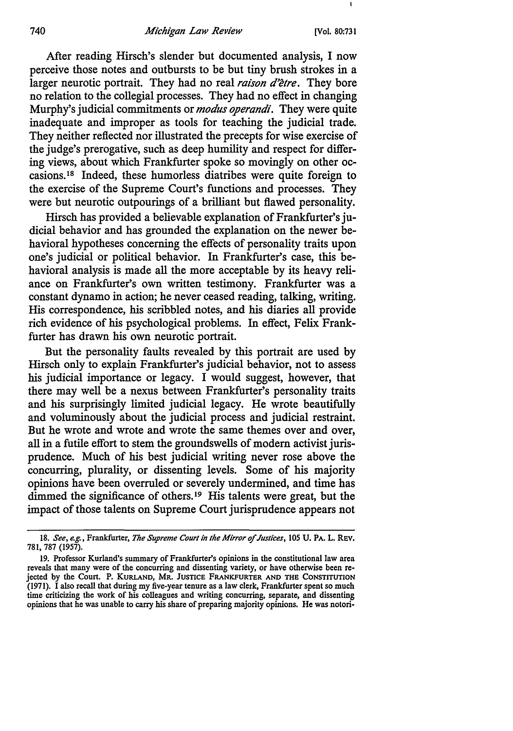#### 740 *Michigan Law Review* [Vol. 80:731

After reading Hirsch's slender but documented analysis, I now perceive those notes and outbursts to be but tiny brush strokes in a larger neurotic portrait. They had no real *raison d'etre.* They bore no relation to the collegial processes. They had no effect in changing Murphy's judicial commitments or *modus operandi.* They were quite inadequate and improper as tools for teaching the judicial trade. They neither reflected nor illustrated the precepts for wise exercise of the judge's prerogative, such as deep humility and respect for differing views, about which Frankfurter spoke so movingly on other occasions. Is Indeed, these humorless diatribes were quite foreign to the exercise of the Supreme Court's functions and processes. They were but neurotic outpourings of a brilliant but flawed personality.

Hirsch has provided a believable explanation of Frankfurter's judicial behavior and has grounded the explanation on the newer behavioral hypotheses concerning the effects of personality traits upon one's judicial or political behavior. In Frankfurter's case, this behavioral analysis is made all the more acceptable by its heavy reliance on Frankfurter's own written testimony. Frankfurter was a constant dynamo in action; he never ceased reading, talking, writing. His correspondence, his scribbled notes, and his diaries all provide rich evidence of his psychological problems. In effect, Felix Frankfurter has drawn his own neurotic portrait.

But the personality faults revealed by this portrait are used by Hirsch only to explain Frankfurter's judicial behavior, not to assess his judicial importance or legacy. I would suggest, however, that there may well be a nexus between Frankfurter's personality traits and his surprisingly limited judicial legacy. He wrote beautifully and voluminously about the judicial process and judicial restraint. But he wrote and wrote and wrote the same themes over and over, all in a futile effort to stem the groundswells of modem activist jurisprudence. Much of his best judicial writing never rose above the concurring, plurality, or dissenting levels. Some of his majority opinions have been overruled or severely undermined, and time has dimmed the significance of others.<sup>19</sup> His talents were great, but the impact of those talents on Supreme Court jurisprudence appears not

<sup>18.</sup> *See, e.g.,* Frankfurter, *The Supreme Court in the Mirror of Justices,* 105 U. PA, L. REV. 781, 787 (1957).

<sup>19.</sup> Professor Kurland's summary of Frankfurter's opinions in the constitutional law area reveals that many were of the concurring and dissenting variety, or have otherwise been rejected by the Court. P. KURLAND, MR. JUSTICE FRANKFURTER AND THE CONSTITUTION (1971). I also recall that during my five-year tenure as a law clerk, Frankfurter spent so much time criticizing the work of his colleagues and writing concurring, separate, and dissenting opinions that he was unable to carry his share of preparing majority opinions. **He** was notori-